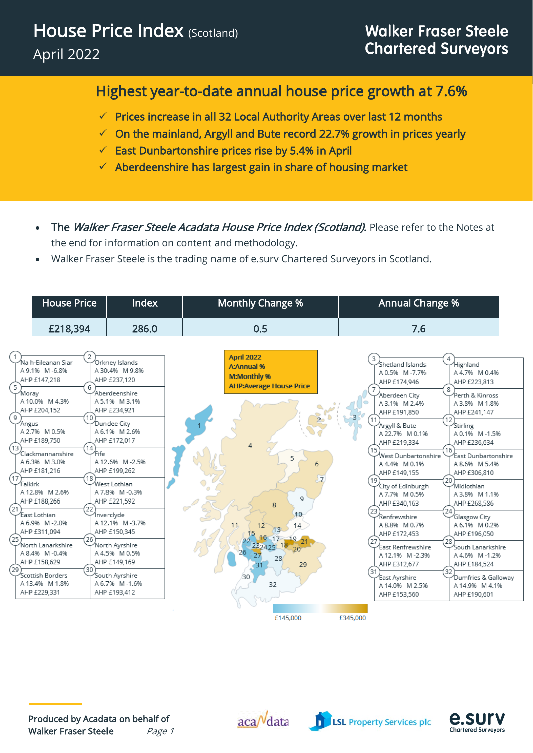## Highest year-to-date annual house price growth at 7.6%

- ✓ Prices increase in all 32 Local Authority Areas over last 12 months
- $\checkmark$  On the mainland, Argyll and Bute record 22.7% growth in prices yearly
- $\checkmark$  East Dunbartonshire prices rise by 5.4% in April
- ✓ Aberdeenshire has largest gain in share of housing market
- The Walker Fraser Steele Acadata House Price Index (Scotland). Please refer to the Notes at the end for information on content and methodology.
- Walker Fraser Steele is the trading name of e.surv Chartered Surveyors in Scotland.



Produced by Acadata on behalf of Walker Fraser Steele Page 1  $aca<sup>N</sup>data$ 



**LSL Property Services plc** 

e.sur

**Chartered Surveyors**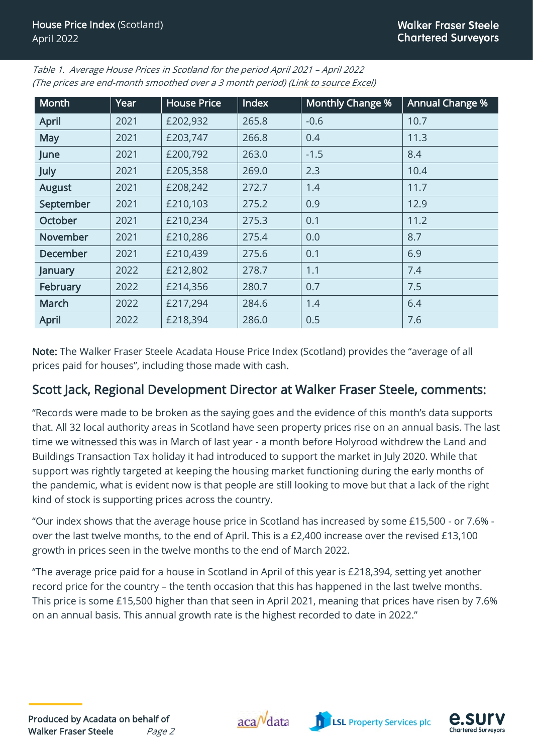| <b>Month</b>    | Year | <b>House Price</b> | Index | <b>Monthly Change %</b> | <b>Annual Change %</b> |  |
|-----------------|------|--------------------|-------|-------------------------|------------------------|--|
| <b>April</b>    | 2021 | £202,932           | 265.8 | $-0.6$                  | 10.7                   |  |
| <b>May</b>      | 2021 | £203,747           | 266.8 | 0.4                     | 11.3                   |  |
| June            | 2021 | £200,792           | 263.0 | $-1.5$                  | 8.4                    |  |
| July            | 2021 | £205,358           | 269.0 | 2.3                     | 10.4                   |  |
| <b>August</b>   | 2021 | £208,242           | 272.7 | 1.4                     | 11.7                   |  |
| September       | 2021 | £210,103           | 275.2 | 0.9                     | 12.9                   |  |
| <b>October</b>  | 2021 | £210,234           | 275.3 | 0.1                     | 11.2                   |  |
| November        | 2021 | £210,286           | 275.4 | 0.0                     | 8.7                    |  |
| <b>December</b> | 2021 | £210,439           | 275.6 | 0.1                     | 6.9                    |  |
| January         | 2022 | £212,802           | 278.7 | 1.1                     | 7.4                    |  |
| February        | 2022 | £214,356           | 280.7 | 0.7                     | 7.5                    |  |
| March           | 2022 | £217,294           | 284.6 | 1.4                     | 6.4                    |  |
| <b>April</b>    | 2022 | £218,394           | 286.0 | 0.5                     | 7.6                    |  |

Table 1. Average House Prices in Scotland for the period April 2021 – April 2022 (The prices are end-month smoothed over a 3 month period) [\(Link to source Excel\)](http://www.acadata.co.uk/assets/uploads/2022/06/WFS-Acadata-Scotland-HPI-Data-from-2000-April-22.xlsm)

Note: The Walker Fraser Steele Acadata House Price Index (Scotland) provides the "average of all prices paid for houses", including those made with cash.

## Scott Jack, Regional Development Director at Walker Fraser Steele, comments:

"Records were made to be broken as the saying goes and the evidence of this month's data supports that. All 32 local authority areas in Scotland have seen property prices rise on an annual basis. The last time we witnessed this was in March of last year - a month before Holyrood withdrew the Land and Buildings Transaction Tax holiday it had introduced to support the market in July 2020. While that support was rightly targeted at keeping the housing market functioning during the early months of the pandemic, what is evident now is that people are still looking to move but that a lack of the right kind of stock is supporting prices across the country.

"Our index shows that the average house price in Scotland has increased by some £15,500 - or 7.6% over the last twelve months, to the end of April. This is a £2,400 increase over the revised £13,100 growth in prices seen in the twelve months to the end of March 2022.

"The average price paid for a house in Scotland in April of this year is £218,394, setting yet another record price for the country – the tenth occasion that this has happened in the last twelve months. This price is some £15,500 higher than that seen in April 2021, meaning that prices have risen by 7.6% on an annual basis. This annual growth rate is the highest recorded to date in 2022."





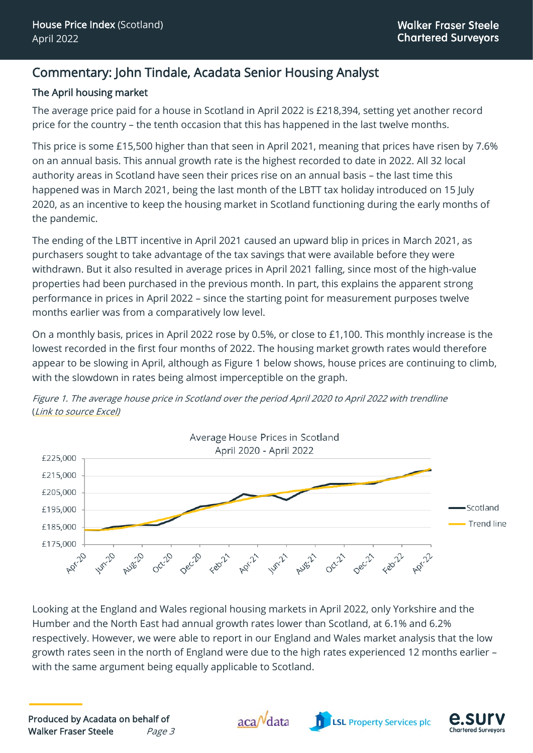#### Commentary: John Tindale, Acadata Senior Housing Analyst

#### The April housing market

The average price paid for a house in Scotland in April 2022 is £218,394, setting yet another record price for the country – the tenth occasion that this has happened in the last twelve months.

This price is some £15,500 higher than that seen in April 2021, meaning that prices have risen by 7.6% on an annual basis. This annual growth rate is the highest recorded to date in 2022. All 32 local authority areas in Scotland have seen their prices rise on an annual basis – the last time this happened was in March 2021, being the last month of the LBTT tax holiday introduced on 15 July 2020, as an incentive to keep the housing market in Scotland functioning during the early months of the pandemic.

The ending of the LBTT incentive in April 2021 caused an upward blip in prices in March 2021, as purchasers sought to take advantage of the tax savings that were available before they were withdrawn. But it also resulted in average prices in April 2021 falling, since most of the high-value properties had been purchased in the previous month. In part, this explains the apparent strong performance in prices in April 2022 – since the starting point for measurement purposes twelve months earlier was from a comparatively low level.

On a monthly basis, prices in April 2022 rose by 0.5%, or close to £1,100. This monthly increase is the lowest recorded in the first four months of 2022. The housing market growth rates would therefore appear to be slowing in April, although as Figure 1 below shows, house prices are continuing to climb, with the slowdown in rates being almost imperceptible on the graph.



Figure 1. The average house price in Scotland over the period April 2020 to April 2022 with trendline ([Link to source Excel\)](http://www.acadata.co.uk/assets/uploads/2022/06/WFS-Acadata-Scotland-HPI-Trendline-two-years-April-22.xlsx)

Looking at the England and Wales regional housing markets in April 2022, only Yorkshire and the Humber and the North East had annual growth rates lower than Scotland, at 6.1% and 6.2% respectively. However, we were able to report in our England and Wales market analysis that the low growth rates seen in the north of England were due to the high rates experienced 12 months earlier – with the same argument being equally applicable to Scotland.



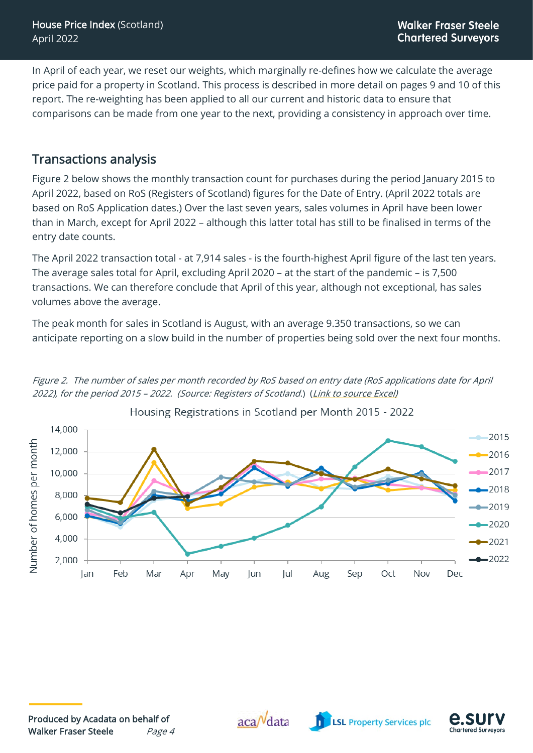In April of each year, we reset our weights, which marginally re-defines how we calculate the average price paid for a property in Scotland. This process is described in more detail on pages 9 and 10 of this report. The re-weighting has been applied to all our current and historic data to ensure that comparisons can be made from one year to the next, providing a consistency in approach over time.

#### Transactions analysis

Figure 2 below shows the monthly transaction count for purchases during the period January 2015 to April 2022, based on RoS (Registers of Scotland) figures for the Date of Entry. (April 2022 totals are based on RoS Application dates.) Over the last seven years, sales volumes in April have been lower than in March, except for April 2022 – although this latter total has still to be finalised in terms of the entry date counts.

The April 2022 transaction total - at 7,914 sales - is the fourth-highest April figure of the last ten years. The average sales total for April, excluding April 2020 – at the start of the pandemic – is 7,500 transactions. We can therefore conclude that April of this year, although not exceptional, has sales volumes above the average.

The peak month for sales in Scotland is August, with an average 9.350 transactions, so we can anticipate reporting on a slow build in the number of properties being sold over the next four months.

Figure 2. The number of sales per month recorded by RoS based on entry date (RoS applications date for April 2022), for the period 2015 – 2022. (Source: Registers of Scotland.) ([Link to source Excel\)](http://www.acadata.co.uk/assets/uploads/2022/06/WFS-Acadata-Scotland-HPI-Housing-registrations-per-month-April-22.xlsx)







.SI

**Chartered Surveyors**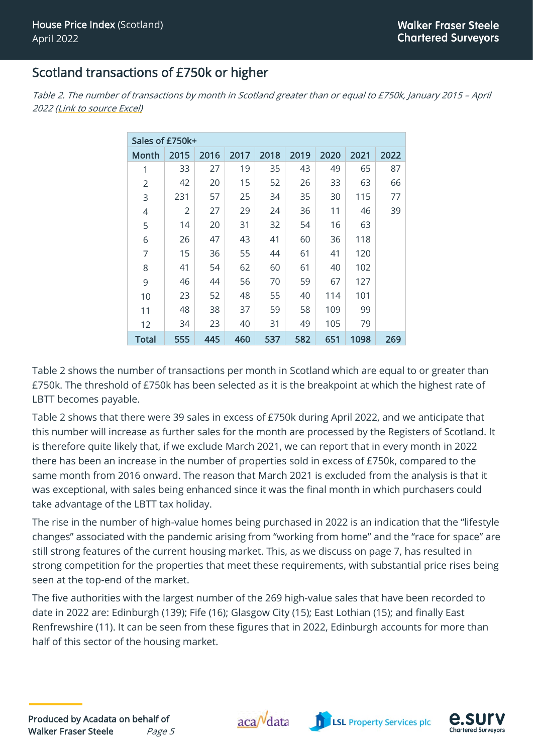#### Scotland transactions of £750k or higher

| Sales of £750k+ |                |      |      |      |      |      |      |      |
|-----------------|----------------|------|------|------|------|------|------|------|
| Month           | 2015           | 2016 | 2017 | 2018 | 2019 | 2020 | 2021 | 2022 |
| 1               | 33             | 27   | 19   | 35   | 43   | 49   | 65   | 87   |
| $\overline{2}$  | 42             | 20   | 15   | 52   | 26   | 33   | 63   | 66   |
| 3               | 231            | 57   | 25   | 34   | 35   | 30   | 115  | 77   |
| 4               | $\overline{2}$ | 27   | 29   | 24   | 36   | 11   | 46   | 39   |
| 5               | 14             | 20   | 31   | 32   | 54   | 16   | 63   |      |
| 6               | 26             | 47   | 43   | 41   | 60   | 36   | 118  |      |
| $\overline{7}$  | 15             | 36   | 55   | 44   | 61   | 41   | 120  |      |
| 8               | 41             | 54   | 62   | 60   | 61   | 40   | 102  |      |
| 9               | 46             | 44   | 56   | 70   | 59   | 67   | 127  |      |
| 10              | 23             | 52   | 48   | 55   | 40   | 114  | 101  |      |
| 11              | 48             | 38   | 37   | 59   | 58   | 109  | 99   |      |
| 12              | 34             | 23   | 40   | 31   | 49   | 105  | 79   |      |
| <b>Total</b>    | 555            | 445  | 460  | 537  | 582  | 651  | 1098 | 269  |

Table 2. The number of transactions by month in Scotland greater than or equal to £750k, January 2015 – April 2022 [\(Link to source Excel\)](http://www.acadata.co.uk/assets/uploads/2022/06/WFS-Acadata-Scotland-HPI-Over-750k-April-22.xlsx)

Table 2 shows the number of transactions per month in Scotland which are equal to or greater than £750k. The threshold of £750k has been selected as it is the breakpoint at which the highest rate of LBTT becomes payable.

Table 2 shows that there were 39 sales in excess of £750k during April 2022, and we anticipate that this number will increase as further sales for the month are processed by the Registers of Scotland. It is therefore quite likely that, if we exclude March 2021, we can report that in every month in 2022 there has been an increase in the number of properties sold in excess of £750k, compared to the same month from 2016 onward. The reason that March 2021 is excluded from the analysis is that it was exceptional, with sales being enhanced since it was the final month in which purchasers could take advantage of the LBTT tax holiday.

The rise in the number of high-value homes being purchased in 2022 is an indication that the "lifestyle changes" associated with the pandemic arising from "working from home" and the "race for space" are still strong features of the current housing market. This, as we discuss on page 7, has resulted in strong competition for the properties that meet these requirements, with substantial price rises being seen at the top-end of the market.

The five authorities with the largest number of the 269 high-value sales that have been recorded to date in 2022 are: Edinburgh (139); Fife (16); Glasgow City (15); East Lothian (15); and finally East Renfrewshire (11). It can be seen from these figures that in 2022, Edinburgh accounts for more than half of this sector of the housing market.





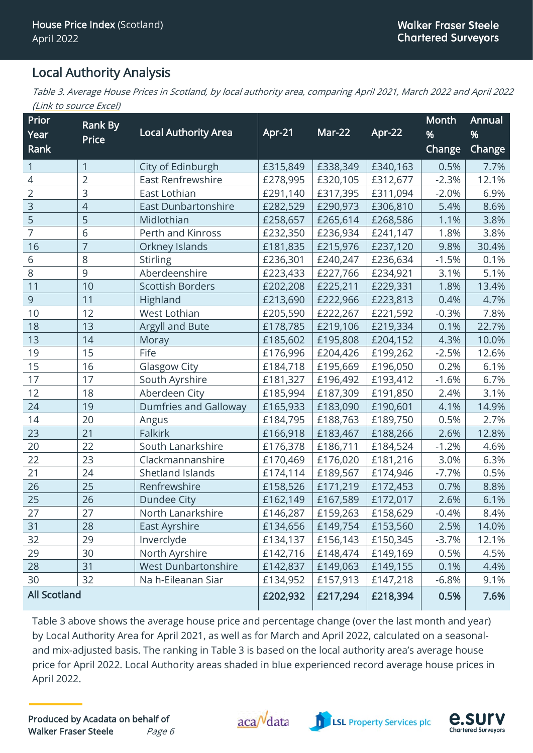#### Local Authority Analysis

Table 3. Average House Prices in Scotland, by local authority area, comparing April 2021, March 2022 and April 2022 ([Link to source Excel\)](http://www.acadata.co.uk/assets/uploads/2022/06/WFS-Acadata-Scotland-HPI-Local-Authority-Areas-Analysis-April-22.xlsx)

| Prior               | Rank By        |                              |          |               |          | Month         | Annual        |
|---------------------|----------------|------------------------------|----------|---------------|----------|---------------|---------------|
| Year                | Price          | <b>Local Authority Area</b>  | Apr-21   | <b>Mar-22</b> | Apr-22   | %             | %             |
| Rank                |                |                              |          |               |          | <b>Change</b> | <b>Change</b> |
| 1                   | $\mathbf{1}$   | City of Edinburgh            | £315,849 | £338,349      | £340,163 | 0.5%          | 7.7%          |
| $\overline{4}$      | $\overline{2}$ | East Renfrewshire            | £278,995 | £320,105      | £312,677 | $-2.3%$       | 12.1%         |
| $\overline{2}$      | 3              | East Lothian                 | £291,140 | £317,395      | £311,094 | $-2.0%$       | 6.9%          |
| $\overline{3}$      | $\overline{4}$ | <b>East Dunbartonshire</b>   | £282,529 | £290,973      | £306,810 | 5.4%          | 8.6%          |
| 5                   | 5              | Midlothian                   | £258,657 | £265,614      | £268,586 | 1.1%          | 3.8%          |
| $\overline{7}$      | 6              | Perth and Kinross            | £232,350 | £236,934      | £241,147 | 1.8%          | 3.8%          |
| 16                  | $\overline{7}$ | Orkney Islands               | £181,835 | £215,976      | £237,120 | 9.8%          | 30.4%         |
| 6                   | 8              | <b>Stirling</b>              | £236,301 | £240,247      | £236,634 | $-1.5%$       | 0.1%          |
| 8                   | 9              | Aberdeenshire                | £223,433 | £227,766      | £234,921 | 3.1%          | 5.1%          |
| 11                  | 10             | <b>Scottish Borders</b>      | £202,208 | £225,211      | £229,331 | 1.8%          | 13.4%         |
| 9                   | 11             | Highland                     | £213,690 | £222,966      | £223,813 | 0.4%          | 4.7%          |
| 10                  | 12             | West Lothian                 | £205,590 | £222,267      | £221,592 | $-0.3%$       | 7.8%          |
| 18                  | 13             | Argyll and Bute              | £178,785 | £219,106      | £219,334 | 0.1%          | 22.7%         |
| 13                  | 14             | Moray                        | £185,602 | £195,808      | £204,152 | 4.3%          | 10.0%         |
| 19                  | 15             | Fife                         | £176,996 | £204,426      | £199,262 | $-2.5%$       | 12.6%         |
| 15                  | 16             | Glasgow City                 | £184,718 | £195,669      | £196,050 | 0.2%          | 6.1%          |
| 17                  | 17             | South Ayrshire               | £181,327 | £196,492      | £193,412 | $-1.6%$       | 6.7%          |
| 12                  | 18             | Aberdeen City                | £185,994 | £187,309      | £191,850 | 2.4%          | 3.1%          |
| 24                  | 19             | <b>Dumfries and Galloway</b> | £165,933 | £183,090      | £190,601 | 4.1%          | 14.9%         |
| 14                  | 20             | Angus                        | £184,795 | £188,763      | £189,750 | 0.5%          | 2.7%          |
| 23                  | 21             | <b>Falkirk</b>               | £166,918 | £183,467      | £188,266 | 2.6%          | 12.8%         |
| 20                  | 22             | South Lanarkshire            | £176,378 | £186,711      | £184,524 | $-1.2%$       | 4.6%          |
| 22                  | 23             | Clackmannanshire             | £170,469 | £176,020      | £181,216 | 3.0%          | 6.3%          |
| 21                  | 24             | Shetland Islands             | £174,114 | £189,567      | £174,946 | $-7.7%$       | 0.5%          |
| 26                  | 25             | Renfrewshire                 | £158,526 | £171,219      | £172,453 | 0.7%          | 8.8%          |
| 25                  | 26             | <b>Dundee City</b>           | £162,149 | £167,589      | £172,017 | 2.6%          | 6.1%          |
| 27                  | 27             | North Lanarkshire            | £146,287 | £159,263      | £158,629 | $-0.4%$       | 8.4%          |
| 31                  | 28             | East Ayrshire                | £134,656 | £149,754      | £153,560 | 2.5%          | 14.0%         |
| 32                  | 29             | Inverclyde                   | £134,137 | £156,143      | £150,345 | $-3.7%$       | 12.1%         |
| 29                  | 30             | North Ayrshire               | £142,716 | £148,474      | £149,169 | 0.5%          | 4.5%          |
| 28                  | 31             | <b>West Dunbartonshire</b>   | £142,837 | £149,063      | £149,155 | 0.1%          | 4.4%          |
| 30                  | 32             | Na h-Eileanan Siar           | £134,952 | £157,913      | £147,218 | $-6.8%$       | 9.1%          |
| <b>All Scotland</b> |                |                              | £202,932 | £217,294      | £218,394 | 0.5%          | 7.6%          |

Table 3 above shows the average house price and percentage change (over the last month and year) by Local Authority Area for April 2021, as well as for March and April 2022, calculated on a seasonaland mix-adjusted basis. The ranking in Table 3 is based on the local authority area's average house price for April 2022. Local Authority areas shaded in blue experienced record average house prices in April 2022.



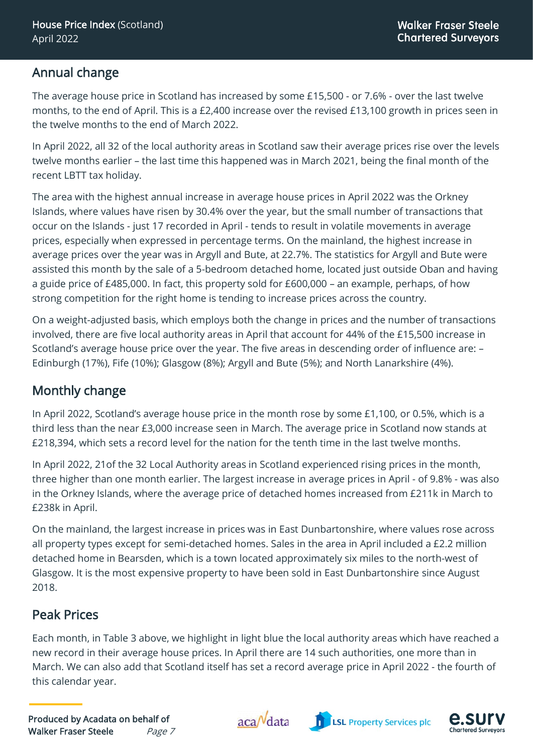## Annual change

The average house price in Scotland has increased by some £15,500 - or 7.6% - over the last twelve months, to the end of April. This is a £2,400 increase over the revised £13,100 growth in prices seen in the twelve months to the end of March 2022.

In April 2022, all 32 of the local authority areas in Scotland saw their average prices rise over the levels twelve months earlier – the last time this happened was in March 2021, being the final month of the recent LBTT tax holiday.

The area with the highest annual increase in average house prices in April 2022 was the Orkney Islands, where values have risen by 30.4% over the year, but the small number of transactions that occur on the Islands - just 17 recorded in April - tends to result in volatile movements in average prices, especially when expressed in percentage terms. On the mainland, the highest increase in average prices over the year was in Argyll and Bute, at 22.7%. The statistics for Argyll and Bute were assisted this month by the sale of a 5-bedroom detached home, located just outside Oban and having a guide price of £485,000. In fact, this property sold for £600,000 – an example, perhaps, of how strong competition for the right home is tending to increase prices across the country.

On a weight-adjusted basis, which employs both the change in prices and the number of transactions involved, there are five local authority areas in April that account for 44% of the £15,500 increase in Scotland's average house price over the year. The five areas in descending order of influence are: – Edinburgh (17%), Fife (10%); Glasgow (8%); Argyll and Bute (5%); and North Lanarkshire (4%).

# Monthly change

In April 2022, Scotland's average house price in the month rose by some £1,100, or 0.5%, which is a third less than the near £3,000 increase seen in March. The average price in Scotland now stands at £218,394, which sets a record level for the nation for the tenth time in the last twelve months.

In April 2022, 21of the 32 Local Authority areas in Scotland experienced rising prices in the month, three higher than one month earlier. The largest increase in average prices in April - of 9.8% - was also in the Orkney Islands, where the average price of detached homes increased from £211k in March to £238k in April.

On the mainland, the largest increase in prices was in East Dunbartonshire, where values rose across all property types except for semi-detached homes. Sales in the area in April included a £2.2 million detached home in Bearsden, which is a town located approximately six miles to the north-west of Glasgow. It is the most expensive property to have been sold in East Dunbartonshire since August 2018.

# Peak Prices

Each month, in Table 3 above, we highlight in light blue the local authority areas which have reached a new record in their average house prices. In April there are 14 such authorities, one more than in March. We can also add that Scotland itself has set a record average price in April 2022 - the fourth of this calendar year.





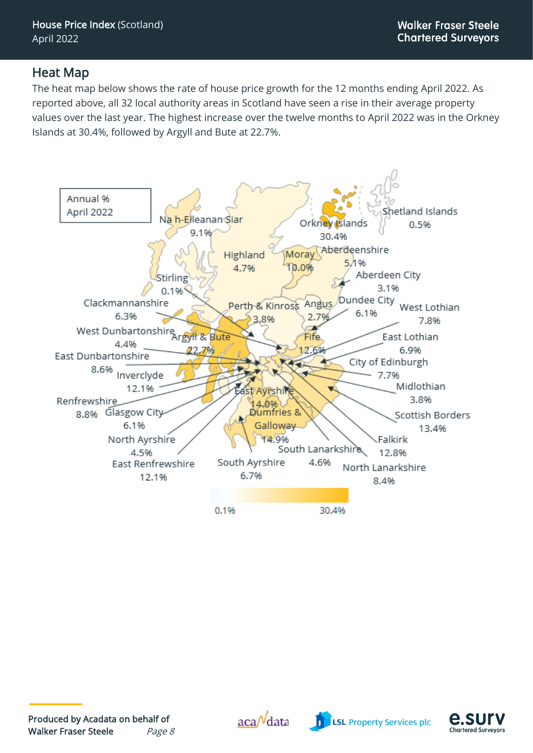#### Heat Map

The heat map below shows the rate of house price growth for the 12 months ending April 2022. As reported above, all 32 local authority areas in Scotland have seen a rise in their average property values over the last year. The highest increase over the twelve months to April 2022 was in the Orkney Islands at 30.4%, followed by Argyll and Bute at 22.7%.







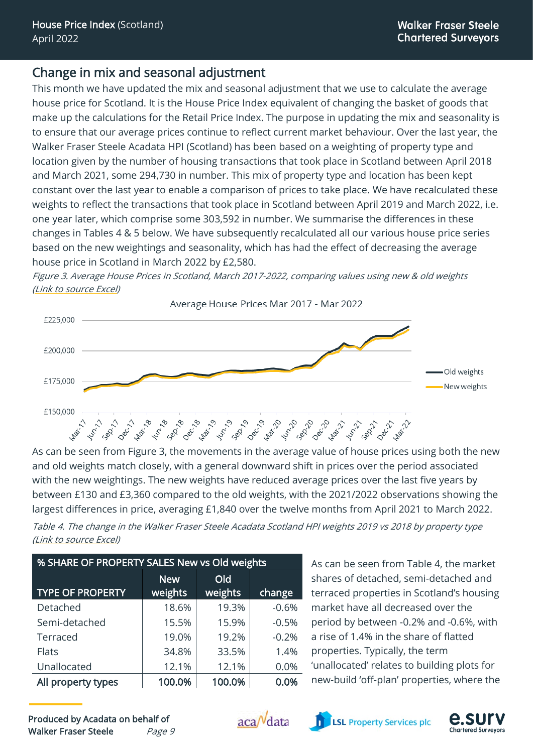## Change in mix and seasonal adjustment

This month we have updated the mix and seasonal adjustment that we use to calculate the average house price for Scotland. It is the House Price Index equivalent of changing the basket of goods that make up the calculations for the Retail Price Index. The purpose in updating the mix and seasonality is to ensure that our average prices continue to reflect current market behaviour. Over the last year, the Walker Fraser Steele Acadata HPI (Scotland) has been based on a weighting of property type and location given by the number of housing transactions that took place in Scotland between April 2018 and March 2021, some 294,730 in number. This mix of property type and location has been kept constant over the last year to enable a comparison of prices to take place. We have recalculated these weights to reflect the transactions that took place in Scotland between April 2019 and March 2022, i.e. one year later, which comprise some 303,592 in number. We summarise the differences in these changes in Tables 4 & 5 below. We have subsequently recalculated all our various house price series based on the new weightings and seasonality, which has had the effect of decreasing the average house price in Scotland in March 2022 by £2,580.

Figure 3. Average House Prices in Scotland, March 2017-2022, comparing values using new & old weights [\(Link to source Excel\)](http://www.acadata.co.uk/assets/uploads/2022/06/WFS-Acadata-Scotland-HPI-5-years-new-vs-old-weights-April-22.xlsx)



As can be seen from Figure 3, the movements in the average value of house prices using both the new and old weights match closely, with a general downward shift in prices over the period associated with the new weightings. The new weights have reduced average prices over the last five years by between £130 and £3,360 compared to the old weights, with the 2021/2022 observations showing the largest differences in price, averaging £1,840 over the twelve months from April 2021 to March 2022.

Table 4. The change in the Walker Fraser Steele Acadata Scotland HPI weights 2019 vs 2018 by property type [\(Link to source Excel\)](http://www.acadata.co.uk/assets/uploads/2022/06/WFS-Acadata-Scotland-HPI-5-years-new-vs-old-weights-April-22.xlsx)

| % SHARE OF PROPERTY SALES New vs Old weights |                       |                |         |  |  |  |  |
|----------------------------------------------|-----------------------|----------------|---------|--|--|--|--|
| <b>TYPE OF PROPERTY</b>                      | <b>New</b><br>weights | Old<br>weights | change  |  |  |  |  |
| Detached                                     | 18.6%                 | 19.3%          | $-0.6%$ |  |  |  |  |
| Semi-detached                                | 15.5%                 | 15.9%          | $-0.5%$ |  |  |  |  |
| Terraced                                     | 19.0%                 | 19.2%          | $-0.2%$ |  |  |  |  |
| <b>Flats</b>                                 | 34.8%                 | 33.5%          | 1.4%    |  |  |  |  |
| Unallocated                                  | 12.1%                 | 12.1%          | 0.0%    |  |  |  |  |
| All property types                           | 100.0%                | 100.0%         | 0.0%    |  |  |  |  |

As can be seen from Table 4, the market shares of detached, semi-detached and terraced properties in Scotland's housing market have all decreased over the period by between -0.2% and -0.6%, with a rise of 1.4% in the share of flatted properties. Typically, the term 'unallocated' relates to building plots for new-build 'off-plan' properties, where the





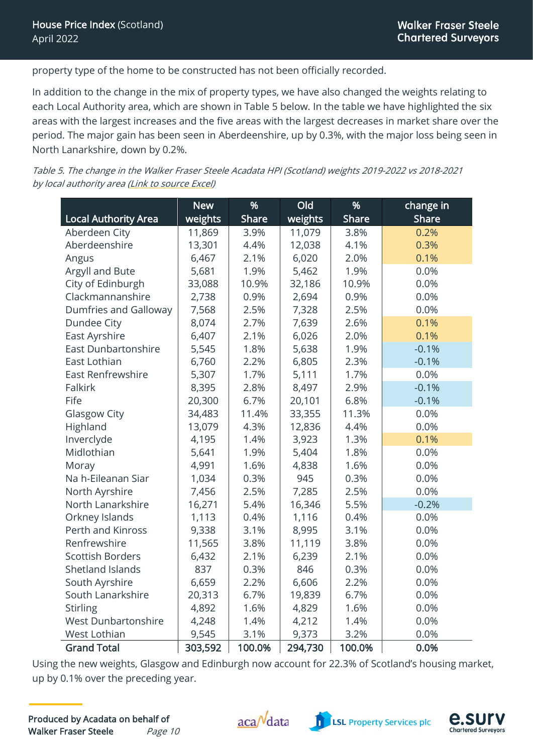property type of the home to be constructed has not been officially recorded.

In addition to the change in the mix of property types, we have also changed the weights relating to each Local Authority area, which are shown in Table 5 below. In the table we have highlighted the six areas with the largest increases and the five areas with the largest decreases in market share over the period. The major gain has been seen in Aberdeenshire, up by 0.3%, with the major loss being seen in North Lanarkshire, down by 0.2%.

Table 5. The change in the Walker Fraser Steele Acadata HPI (Scotland) weights 2019-2022 vs 2018-2021 by local authority area [\(Link to source](http://www.acadata.co.uk/assets/uploads/2022/06/WFS-Acadata-Scotland-HPI-5-years-new-vs-old-weights-April-22.xlsx) Excel)

|                              | <b>New</b> | %            | Old     | %      | change in    |
|------------------------------|------------|--------------|---------|--------|--------------|
| <b>Local Authority Area</b>  | weights    | <b>Share</b> | weights | Share  | <b>Share</b> |
| Aberdeen City                | 11,869     | 3.9%         | 11,079  | 3.8%   | 0.2%         |
| Aberdeenshire                | 13,301     | 4.4%         | 12,038  | 4.1%   | 0.3%         |
| Angus                        | 6,467      | 2.1%         | 6,020   | 2.0%   | 0.1%         |
| Argyll and Bute              | 5,681      | 1.9%         | 5,462   | 1.9%   | 0.0%         |
| City of Edinburgh            | 33,088     | 10.9%        | 32,186  | 10.9%  | 0.0%         |
| Clackmannanshire             | 2,738      | 0.9%         | 2,694   | 0.9%   | 0.0%         |
| <b>Dumfries and Galloway</b> | 7,568      | 2.5%         | 7,328   | 2.5%   | 0.0%         |
| Dundee City                  | 8,074      | 2.7%         | 7,639   | 2.6%   | 0.1%         |
| East Ayrshire                | 6,407      | 2.1%         | 6,026   | 2.0%   | 0.1%         |
| East Dunbartonshire          | 5,545      | 1.8%         | 5,638   | 1.9%   | $-0.1%$      |
| East Lothian                 | 6,760      | 2.2%         | 6,805   | 2.3%   | $-0.1%$      |
| <b>East Renfrewshire</b>     | 5,307      | 1.7%         | 5,111   | 1.7%   | 0.0%         |
| <b>Falkirk</b>               | 8,395      | 2.8%         | 8,497   | 2.9%   | $-0.1%$      |
| Fife                         | 20,300     | 6.7%         | 20,101  | 6.8%   | $-0.1%$      |
| <b>Glasgow City</b>          | 34,483     | 11.4%        | 33,355  | 11.3%  | 0.0%         |
| Highland                     | 13,079     | 4.3%         | 12,836  | 4.4%   | 0.0%         |
| Inverclyde                   | 4,195      | 1.4%         | 3,923   | 1.3%   | 0.1%         |
| Midlothian                   | 5,641      | 1.9%         | 5,404   | 1.8%   | 0.0%         |
| Moray                        | 4,991      | 1.6%         | 4,838   | 1.6%   | 0.0%         |
| Na h-Eileanan Siar           | 1,034      | 0.3%         | 945     | 0.3%   | 0.0%         |
| North Ayrshire               | 7,456      | 2.5%         | 7,285   | 2.5%   | 0.0%         |
| North Lanarkshire            | 16,271     | 5.4%         | 16,346  | 5.5%   | $-0.2%$      |
| Orkney Islands               | 1,113      | 0.4%         | 1,116   | 0.4%   | 0.0%         |
| Perth and Kinross            | 9,338      | 3.1%         | 8,995   | 3.1%   | 0.0%         |
| Renfrewshire                 | 11,565     | 3.8%         | 11,119  | 3.8%   | 0.0%         |
| <b>Scottish Borders</b>      | 6,432      | 2.1%         | 6,239   | 2.1%   | 0.0%         |
| Shetland Islands             | 837        | 0.3%         | 846     | 0.3%   | 0.0%         |
| South Ayrshire               | 6,659      | 2.2%         | 6,606   | 2.2%   | 0.0%         |
| South Lanarkshire            | 20,313     | 6.7%         | 19,839  | 6.7%   | 0.0%         |
| <b>Stirling</b>              | 4,892      | 1.6%         | 4,829   | 1.6%   | 0.0%         |
| <b>West Dunbartonshire</b>   | 4,248      | 1.4%         | 4,212   | 1.4%   | 0.0%         |
| West Lothian                 | 9,545      | 3.1%         | 9,373   | 3.2%   | 0.0%         |
| <b>Grand Total</b>           | 303,592    | 100.0%       | 294,730 | 100.0% | 0.0%         |

Using the new weights, Glasgow and Edinburgh now account for 22.3% of Scotland's housing market, up by 0.1% over the preceding year.



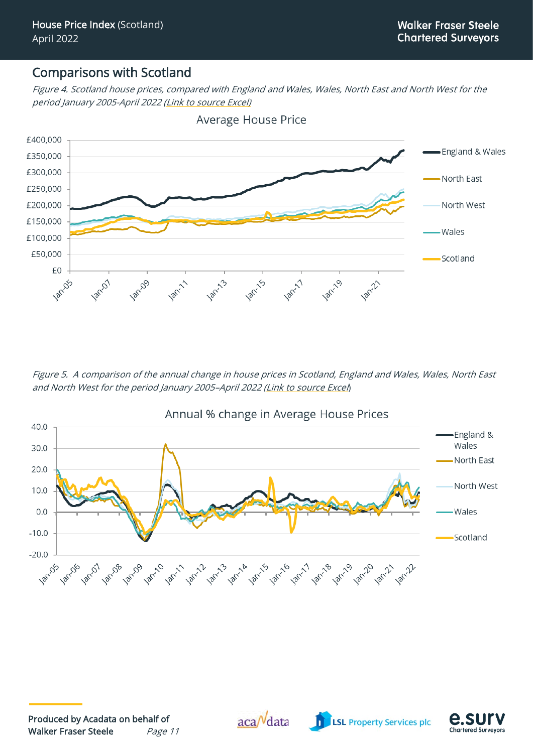#### Comparisons with Scotland

Figure 4. Scotland house prices, compared with England and Wales, Wales, North East and North West for the period January 2005-April 2022 [\(Link to source Excel\)](http://www.acadata.co.uk/assets/uploads/2022/06/WFS-Acadata-Scotland-HPI-Data-from-2000-April-22.xlsm)



Average House Price

Figure 5. A comparison of the annual change in house prices in Scotland, England and Wales, Wales, North East and North West for the period January 2005–April <sup>2022</sup> [\(Link to source Excel](http://www.acadata.co.uk/assets/uploads/2022/06/WFS-Acadata-Scotland-HPI-Data-from-2000-April-22.xlsm))







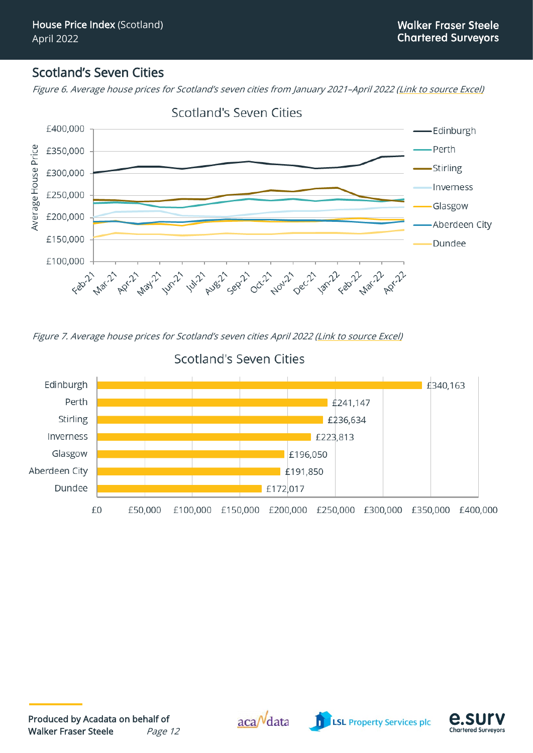#### Scotland's Seven Cities

Figure 6. Average house prices for Scotland's seven cities from January 2021–April 2022 [\(Link to source Excel\)](http://www.acadata.co.uk/assets/uploads/2022/06/WFS-Acadata-Scotland-HPI-Seven-Cities-April-22.xlsx)



#### Scotland's Seven Cities

Figure 7. Average house prices for Scotland's seven cities April 2022 [\(Link to source Excel\)](http://www.acadata.co.uk/assets/uploads/2022/06/WFS-Acadata-Scotland-HPI-Seven-Cities-April-22.xlsx)



## Scotland's Seven Cities



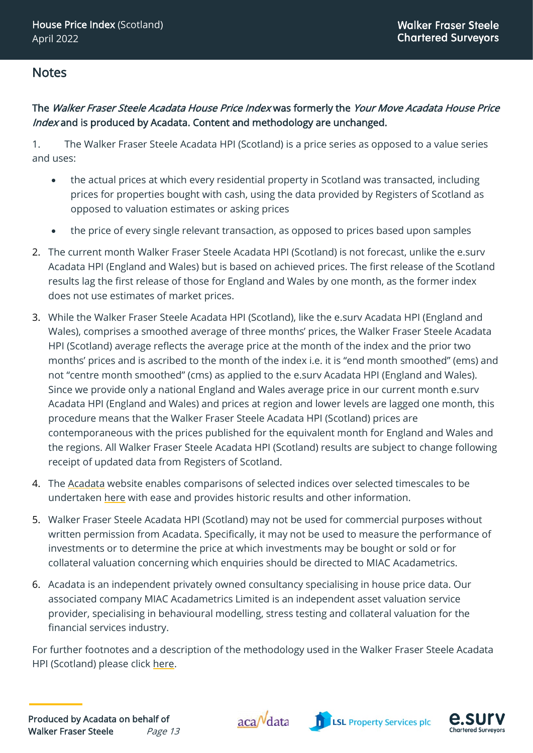#### Notes

#### The Walker Fraser Steele Acadata House Price Index was formerly the Your Move Acadata House Price Index and is produced by Acadata. Content and methodology are unchanged.

1. The Walker Fraser Steele Acadata HPI (Scotland) is a price series as opposed to a value series and uses:

- the actual prices at which every residential property in Scotland was transacted, including prices for properties bought with cash, using the data provided by Registers of Scotland as opposed to valuation estimates or asking prices
- the price of every single relevant transaction, as opposed to prices based upon samples
- 2. The current month Walker Fraser Steele Acadata HPI (Scotland) is not forecast, unlike the e.surv Acadata HPI (England and Wales) but is based on achieved prices. The first release of the Scotland results lag the first release of those for England and Wales by one month, as the former index does not use estimates of market prices.
- 3. While the Walker Fraser Steele Acadata HPI (Scotland), like the e.surv Acadata HPI (England and Wales), comprises a smoothed average of three months' prices, the Walker Fraser Steele Acadata HPI (Scotland) average reflects the average price at the month of the index and the prior two months' prices and is ascribed to the month of the index i.e. it is "end month smoothed" (ems) and not "centre month smoothed" (cms) as applied to the e.surv Acadata HPI (England and Wales). Since we provide only a national England and Wales average price in our current month e.surv Acadata HPI (England and Wales) and prices at region and lower levels are lagged one month, this procedure means that the Walker Fraser Steele Acadata HPI (Scotland) prices are contemporaneous with the prices published for the equivalent month for England and Wales and the regions. All Walker Fraser Steele Acadata HPI (Scotland) results are subject to change following receipt of updated data from Registers of Scotland.
- 4. The [Acadata](http://www.acadata.co.uk/) website enables comparisons of selected indices over selected timescales to be undertaken [here](http://www.acadata.co.uk/assets/uploads/2022/06/WFS-Acadata-Scotland-HPI-Data-from-2000-April-22.xlsm) with ease and provides historic results and other information.
- 5. Walker Fraser Steele Acadata HPI (Scotland) may not be used for commercial purposes without written permission from Acadata. Specifically, it may not be used to measure the performance of investments or to determine the price at which investments may be bought or sold or for collateral valuation concerning which enquiries should be directed to MIAC Acadametrics.
- 6. Acadata is an independent privately owned consultancy specialising in house price data. Our associated company MIAC Acadametrics Limited is an independent asset valuation service provider, specialising in behavioural modelling, stress testing and collateral valuation for the financial services industry.

For further footnotes and a description of the methodology used in the Walker Fraser Steele Acadata HPI (Scotland) please click [here.](http://www.acadata.co.uk/wfs-scotland-hpi-footnotes-and-methodology/)